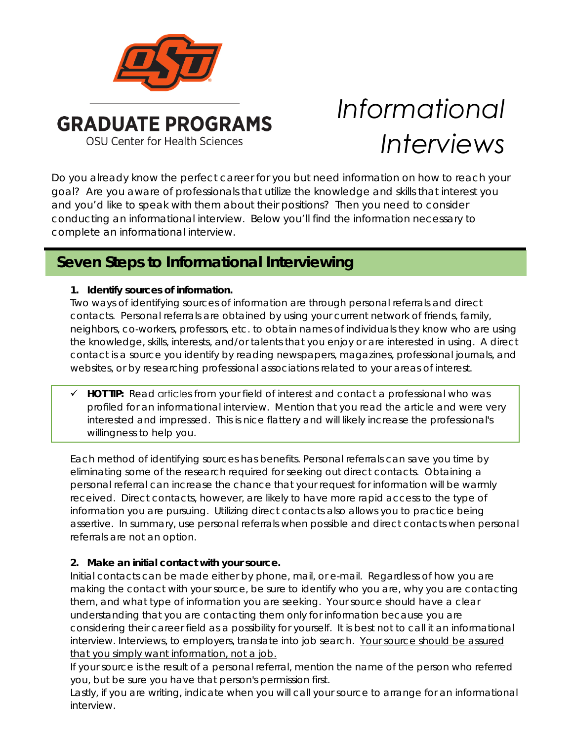

# *Informational Interviews*

Do you already know the perfect career for you but need information on how to reach your goal? Are you aware of professionals that utilize the knowledge and skills that interest you and you'd like to speak with them about their positions? Then you need to consider conducting an informational interview. Below you'll find the information necessary to complete an informational interview.

# **Seven Steps to Informational Interviewing**

## **1. Identify sources of information.**

Two ways of identifying sources of information are through personal referrals and direct contacts. Personal referrals are obtained by using your current network of friends, family, neighbors, co-workers, professors, etc. to obtain names of individuals they know who are using the knowledge, skills, interests, and/or talents that you enjoy or are interested in using. A direct contact is a source you identify by reading newspapers, magazines, professional journals, and websites, or by researching professional associations related to your areas of interest.

 **HOT TIP:** Read articles from your field of interest and contact a professional who was profiled for an informational interview. Mention that you read the article and were very interested and impressed. This is nice flattery and will likely increase the professional's willingness to help you.

Each method of identifying sources has benefits. Personal referrals can save you time by eliminating some of the research required for seeking out direct contacts. Obtaining a personal referral can increase the chance that your request for information will be warmly received. Direct contacts, however, are likely to have more rapid access to the type of information you are pursuing. Utilizing direct contacts also allows you to practice being assertive. In summary, use personal referrals when possible and direct contacts when personal referrals are not an option.

## **2. Make an initial contact with your source.**

Initial contacts can be made either by phone, mail, or e-mail. Regardless of how you are making the contact with your source, be sure to identify who you are, why you are contacting them, and what type of information you are seeking. Your source should have a clear understanding that you are contacting them only for information because you are considering their career field as a possibility for yourself. It is best not to call it an informational interview. Interviews, to employers, translate into job search. Your source should be assured that you simply want information, not a job.

If your source is the result of a personal referral, mention the name of the person who referred you, but be sure you have that person's permission first.

Lastly, if you are writing, indicate when you will call your source to arrange for an informational interview.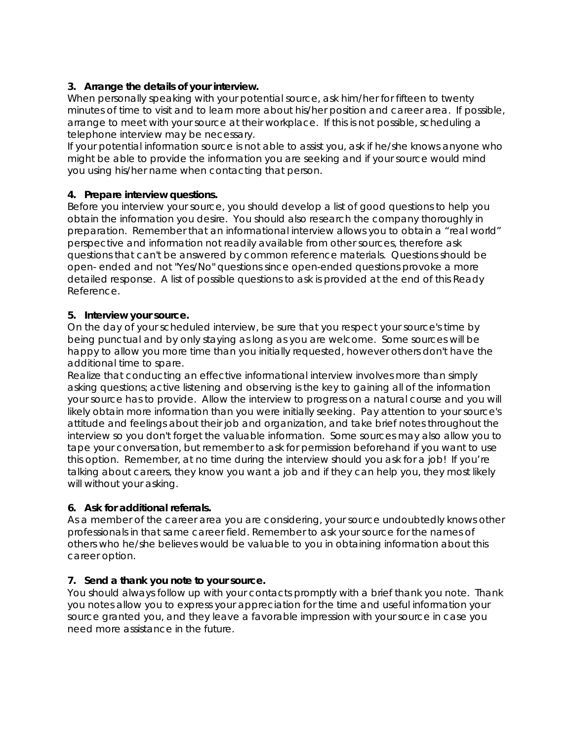#### **3. Arrange the details of your interview.**

When personally speaking with your potential source, ask him/her for fifteen to twenty minutes of time to visit and to learn more about his/her position and career area. If possible, arrange to meet with your source at their workplace. If this is not possible, scheduling a telephone interview may be necessary.

If your potential information source is not able to assist you, ask if he/she knows anyone who might be able to provide the information you are seeking and if your source would mind you using his/her name when contacting that person.

#### **4. Prepare interview questions.**

Before you interview your source, you should develop a list of good questions to help you obtain the information you desire. You should also research the company thoroughly in preparation. Remember that an informational interview allows you to obtain a "real world" perspective and information not readily available from other sources, therefore ask questions that can't be answered by common reference materials. Questions should be open- ended and not "Yes/No" questions since open-ended questions provoke a more detailed response. A list of possible questions to ask is provided at the end of this Ready Reference.

#### **5. Interview your source.**

On the day of your scheduled interview, be sure that you respect your source's time by being punctual and by only staying as long as you are welcome. Some sources will be happy to allow you more time than you initially requested, however others don't have the additional time to spare.

Realize that conducting an effective informational interview involves more than simply asking questions; active listening and observing is the key to gaining all of the information your source has to provide. Allow the interview to progress on a natural course and you will likely obtain more information than you were initially seeking. Pay attention to your source's attitude and feelings about their job and organization, and take brief notes throughout the interview so you don't forget the valuable information. Some sources may also allow you to tape your conversation, but remember to ask for permission beforehand if you want to use this option. Remember, at no time during the interview should you ask for a job! If you're talking about careers, they know you want a job and if they can help you, they most likely will without your asking.

#### **6. Ask for additional referrals.**

As a member of the career area you are considering, your source undoubtedly knows other professionals in that same career field. Remember to ask your source for the names of others who he/she believes would be valuable to you in obtaining information about this career option.

#### **7. Send a thank you note to your source.**

You should always follow up with your contacts promptly with a brief thank you note. Thank you notes allow you to express your appreciation for the time and useful information your source granted you, and they leave a favorable impression with your source in case you need more assistance in the future.